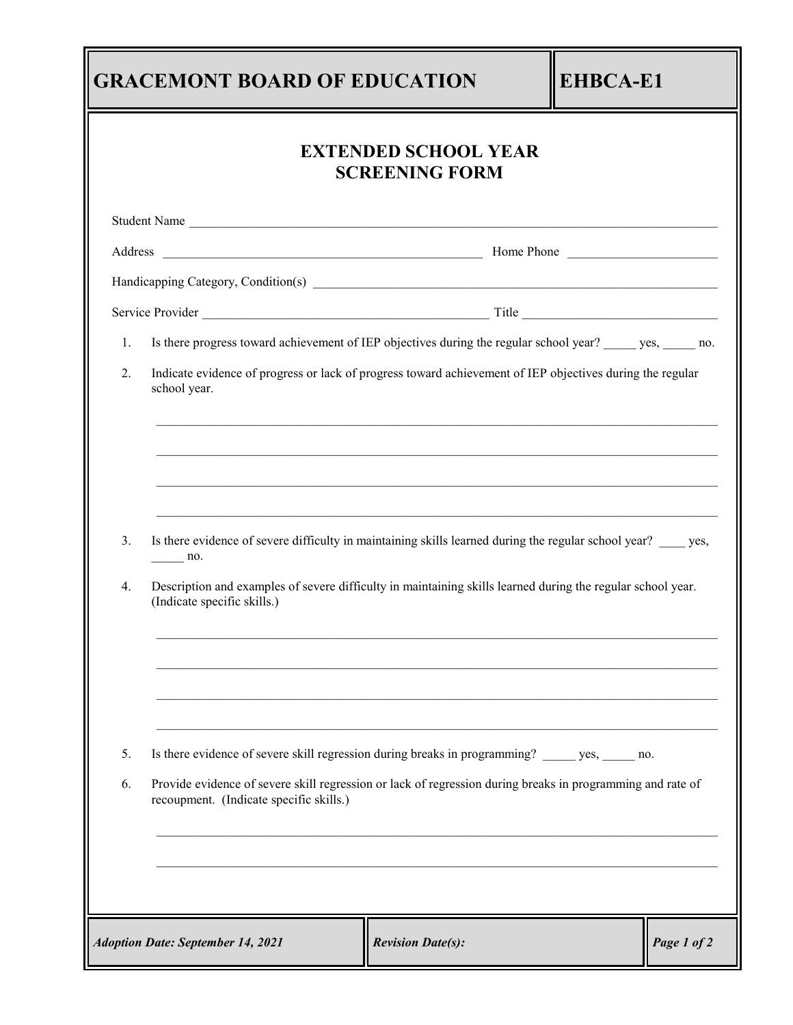|          | <b>GRACEMONT BOARD OF EDUCATION</b>                                                                                                                                                                                                                                        |                                                      | <b>EHBCA-E1</b> |             |  |
|----------|----------------------------------------------------------------------------------------------------------------------------------------------------------------------------------------------------------------------------------------------------------------------------|------------------------------------------------------|-----------------|-------------|--|
|          |                                                                                                                                                                                                                                                                            | <b>EXTENDED SCHOOL YEAR</b><br><b>SCREENING FORM</b> |                 |             |  |
|          | Student Name                                                                                                                                                                                                                                                               |                                                      |                 |             |  |
|          |                                                                                                                                                                                                                                                                            |                                                      |                 |             |  |
|          |                                                                                                                                                                                                                                                                            |                                                      |                 |             |  |
|          |                                                                                                                                                                                                                                                                            |                                                      |                 |             |  |
| 1.       | Is there progress toward achievement of IEP objectives during the regular school year? ______ yes, ______ no.                                                                                                                                                              |                                                      |                 |             |  |
| 2.       | Indicate evidence of progress or lack of progress toward achievement of IEP objectives during the regular<br>school year.                                                                                                                                                  |                                                      |                 |             |  |
| 3.<br>4. | Is there evidence of severe difficulty in maintaining skills learned during the regular school year? _____ yes,<br>$n_{0}$ .<br>Description and examples of severe difficulty in maintaining skills learned during the regular school year.<br>(Indicate specific skills.) |                                                      |                 |             |  |
| 5.<br>6. | Is there evidence of severe skill regression during breaks in programming? _______ yes, ______ no.<br>Provide evidence of severe skill regression or lack of regression during breaks in programming and rate of<br>recoupment. (Indicate specific skills.)                |                                                      |                 |             |  |
|          | <b>Adoption Date: September 14, 2021</b>                                                                                                                                                                                                                                   | <b>Revision Date(s):</b>                             |                 | Page 1 of 2 |  |